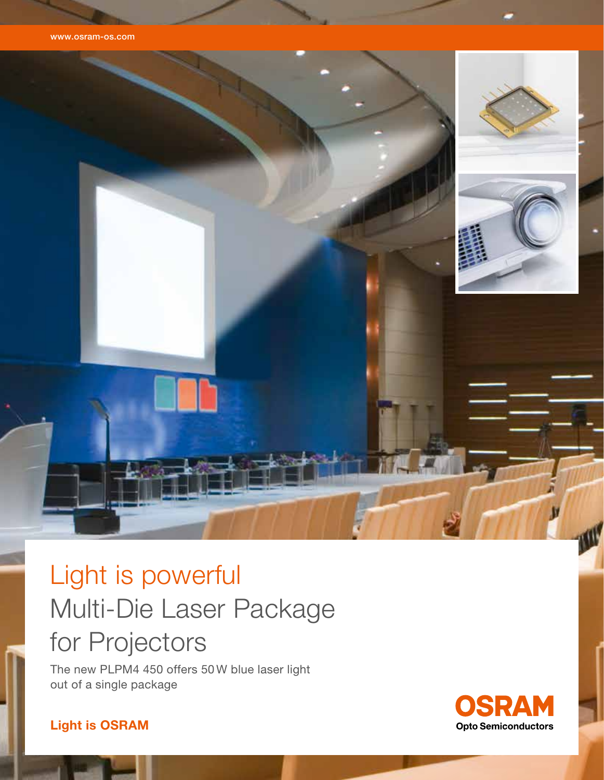



# Light is powerful Multi-Die Laser Package for Projectors

The new PLPM4 450 offers 50 W blue laser light out of a single package



## Light is OSRAM